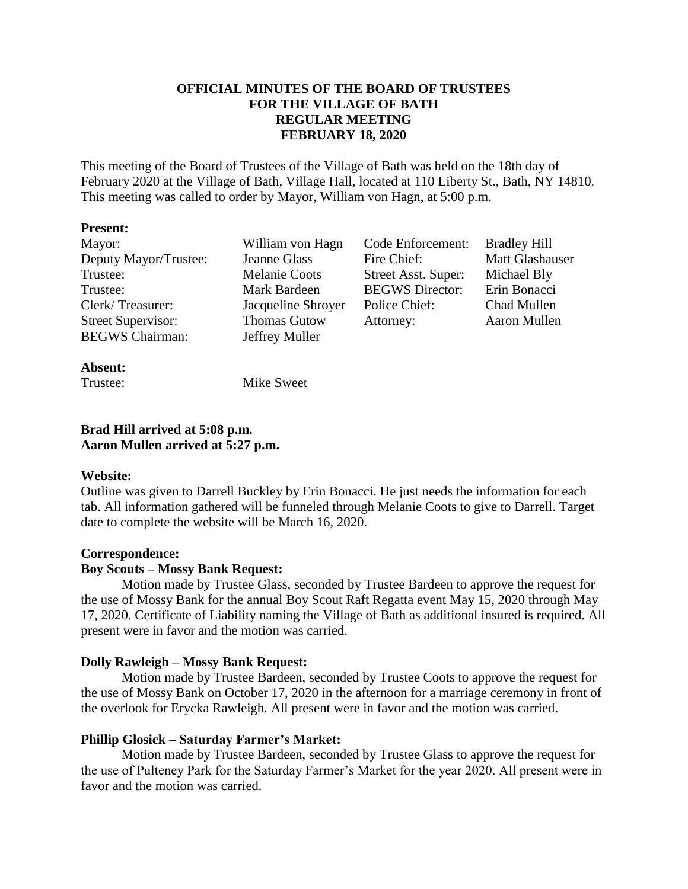# **OFFICIAL MINUTES OF THE BOARD OF TRUSTEES FOR THE VILLAGE OF BATH REGULAR MEETING FEBRUARY 18, 2020**

This meeting of the Board of Trustees of the Village of Bath was held on the 18th day of February 2020 at the Village of Bath, Village Hall, located at 110 Liberty St., Bath, NY 14810. This meeting was called to order by Mayor, William von Hagn, at 5:00 p.m.

#### **Present:**

| Mayor:                    | William von Hagn     | Code Enforcement:      | <b>Bradley Hill</b> |
|---------------------------|----------------------|------------------------|---------------------|
| Deputy Mayor/Trustee:     | Jeanne Glass         | Fire Chief:            | Matt Glashauser     |
| Trustee:                  | <b>Melanie Coots</b> | Street Asst. Super:    | Michael Bly         |
| Trustee:                  | Mark Bardeen         | <b>BEGWS</b> Director: | Erin Bonacci        |
| Clerk/Treasurer:          | Jacqueline Shroyer   | Police Chief:          | Chad Mullen         |
| <b>Street Supervisor:</b> | <b>Thomas Gutow</b>  | Attorney:              | Aaron Mullen        |
| <b>BEGWS</b> Chairman:    | Jeffrey Muller       |                        |                     |
|                           |                      |                        |                     |

# **Absent:**

Trustee: Mike Sweet

# **Brad Hill arrived at 5:08 p.m. Aaron Mullen arrived at 5:27 p.m.**

# **Website:**

Outline was given to Darrell Buckley by Erin Bonacci. He just needs the information for each tab. All information gathered will be funneled through Melanie Coots to give to Darrell. Target date to complete the website will be March 16, 2020.

# **Correspondence:**

# **Boy Scouts – Mossy Bank Request:**

Motion made by Trustee Glass, seconded by Trustee Bardeen to approve the request for the use of Mossy Bank for the annual Boy Scout Raft Regatta event May 15, 2020 through May 17, 2020. Certificate of Liability naming the Village of Bath as additional insured is required. All present were in favor and the motion was carried.

# **Dolly Rawleigh – Mossy Bank Request:**

Motion made by Trustee Bardeen, seconded by Trustee Coots to approve the request for the use of Mossy Bank on October 17, 2020 in the afternoon for a marriage ceremony in front of the overlook for Erycka Rawleigh. All present were in favor and the motion was carried.

# **Phillip Glosick – Saturday Farmer's Market:**

Motion made by Trustee Bardeen, seconded by Trustee Glass to approve the request for the use of Pulteney Park for the Saturday Farmer's Market for the year 2020. All present were in favor and the motion was carried.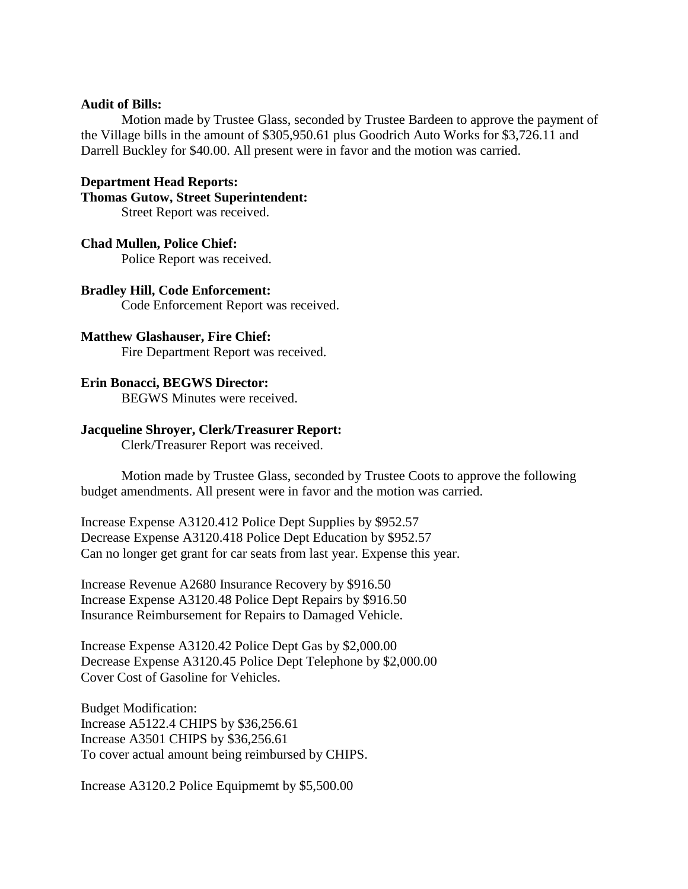#### **Audit of Bills:**

Motion made by Trustee Glass, seconded by Trustee Bardeen to approve the payment of the Village bills in the amount of \$305,950.61 plus Goodrich Auto Works for \$3,726.11 and Darrell Buckley for \$40.00. All present were in favor and the motion was carried.

#### **Department Head Reports:**

#### **Thomas Gutow, Street Superintendent:**

Street Report was received.

#### **Chad Mullen, Police Chief:**

Police Report was received.

#### **Bradley Hill, Code Enforcement:**

Code Enforcement Report was received.

#### **Matthew Glashauser, Fire Chief:**

Fire Department Report was received.

#### **Erin Bonacci, BEGWS Director:**

BEGWS Minutes were received.

#### **Jacqueline Shroyer, Clerk/Treasurer Report:**

Clerk/Treasurer Report was received.

Motion made by Trustee Glass, seconded by Trustee Coots to approve the following budget amendments. All present were in favor and the motion was carried.

Increase Expense A3120.412 Police Dept Supplies by \$952.57 Decrease Expense A3120.418 Police Dept Education by \$952.57 Can no longer get grant for car seats from last year. Expense this year.

Increase Revenue A2680 Insurance Recovery by \$916.50 Increase Expense A3120.48 Police Dept Repairs by \$916.50 Insurance Reimbursement for Repairs to Damaged Vehicle.

Increase Expense A3120.42 Police Dept Gas by \$2,000.00 Decrease Expense A3120.45 Police Dept Telephone by \$2,000.00 Cover Cost of Gasoline for Vehicles.

Budget Modification: Increase A5122.4 CHIPS by \$36,256.61 Increase A3501 CHIPS by \$36,256.61 To cover actual amount being reimbursed by CHIPS.

Increase A3120.2 Police Equipmemt by \$5,500.00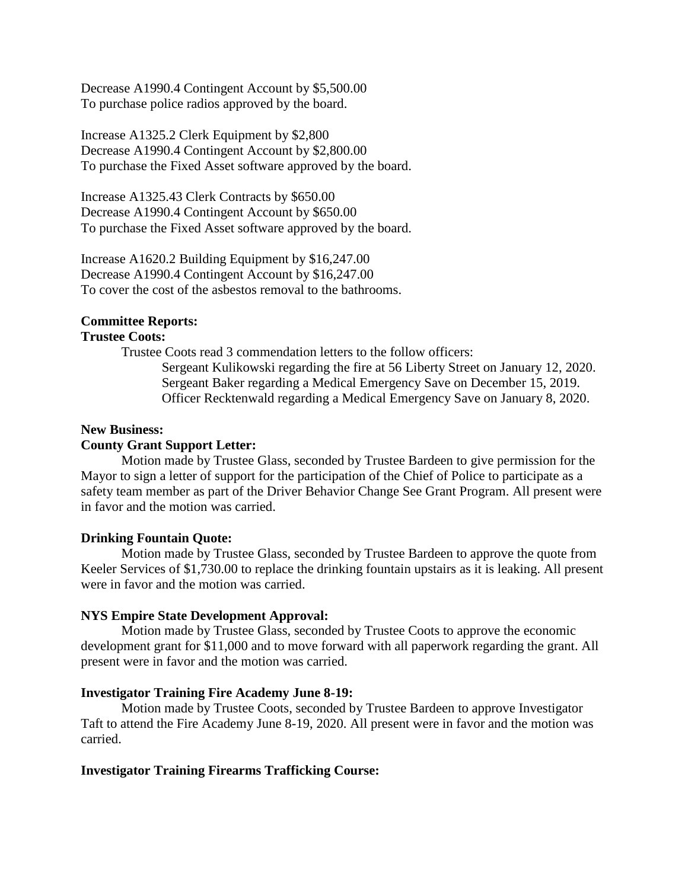Decrease A1990.4 Contingent Account by \$5,500.00 To purchase police radios approved by the board.

Increase A1325.2 Clerk Equipment by \$2,800 Decrease A1990.4 Contingent Account by \$2,800.00 To purchase the Fixed Asset software approved by the board.

Increase A1325.43 Clerk Contracts by \$650.00 Decrease A1990.4 Contingent Account by \$650.00 To purchase the Fixed Asset software approved by the board.

Increase A1620.2 Building Equipment by \$16,247.00 Decrease A1990.4 Contingent Account by \$16,247.00 To cover the cost of the asbestos removal to the bathrooms.

# **Committee Reports:**

# **Trustee Coots:**

Trustee Coots read 3 commendation letters to the follow officers: Sergeant Kulikowski regarding the fire at 56 Liberty Street on January 12, 2020. Sergeant Baker regarding a Medical Emergency Save on December 15, 2019. Officer Recktenwald regarding a Medical Emergency Save on January 8, 2020.

# **New Business:**

# **County Grant Support Letter:**

Motion made by Trustee Glass, seconded by Trustee Bardeen to give permission for the Mayor to sign a letter of support for the participation of the Chief of Police to participate as a safety team member as part of the Driver Behavior Change See Grant Program. All present were in favor and the motion was carried.

# **Drinking Fountain Quote:**

Motion made by Trustee Glass, seconded by Trustee Bardeen to approve the quote from Keeler Services of \$1,730.00 to replace the drinking fountain upstairs as it is leaking. All present were in favor and the motion was carried.

# **NYS Empire State Development Approval:**

Motion made by Trustee Glass, seconded by Trustee Coots to approve the economic development grant for \$11,000 and to move forward with all paperwork regarding the grant. All present were in favor and the motion was carried.

# **Investigator Training Fire Academy June 8-19:**

Motion made by Trustee Coots, seconded by Trustee Bardeen to approve Investigator Taft to attend the Fire Academy June 8-19, 2020. All present were in favor and the motion was carried.

# **Investigator Training Firearms Trafficking Course:**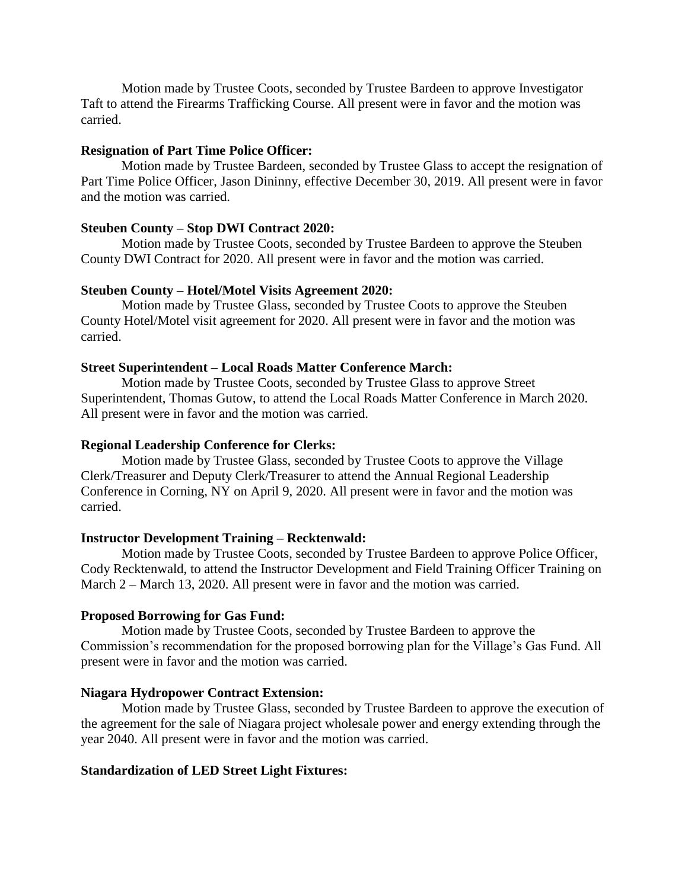Motion made by Trustee Coots, seconded by Trustee Bardeen to approve Investigator Taft to attend the Firearms Trafficking Course. All present were in favor and the motion was carried.

#### **Resignation of Part Time Police Officer:**

Motion made by Trustee Bardeen, seconded by Trustee Glass to accept the resignation of Part Time Police Officer, Jason Dininny, effective December 30, 2019. All present were in favor and the motion was carried.

#### **Steuben County – Stop DWI Contract 2020:**

Motion made by Trustee Coots, seconded by Trustee Bardeen to approve the Steuben County DWI Contract for 2020. All present were in favor and the motion was carried.

# **Steuben County – Hotel/Motel Visits Agreement 2020:**

Motion made by Trustee Glass, seconded by Trustee Coots to approve the Steuben County Hotel/Motel visit agreement for 2020. All present were in favor and the motion was carried.

# **Street Superintendent – Local Roads Matter Conference March:**

Motion made by Trustee Coots, seconded by Trustee Glass to approve Street Superintendent, Thomas Gutow, to attend the Local Roads Matter Conference in March 2020. All present were in favor and the motion was carried.

#### **Regional Leadership Conference for Clerks:**

Motion made by Trustee Glass, seconded by Trustee Coots to approve the Village Clerk/Treasurer and Deputy Clerk/Treasurer to attend the Annual Regional Leadership Conference in Corning, NY on April 9, 2020. All present were in favor and the motion was carried.

#### **Instructor Development Training – Recktenwald:**

Motion made by Trustee Coots, seconded by Trustee Bardeen to approve Police Officer, Cody Recktenwald, to attend the Instructor Development and Field Training Officer Training on March 2 – March 13, 2020. All present were in favor and the motion was carried.

# **Proposed Borrowing for Gas Fund:**

Motion made by Trustee Coots, seconded by Trustee Bardeen to approve the Commission's recommendation for the proposed borrowing plan for the Village's Gas Fund. All present were in favor and the motion was carried.

# **Niagara Hydropower Contract Extension:**

Motion made by Trustee Glass, seconded by Trustee Bardeen to approve the execution of the agreement for the sale of Niagara project wholesale power and energy extending through the year 2040. All present were in favor and the motion was carried.

# **Standardization of LED Street Light Fixtures:**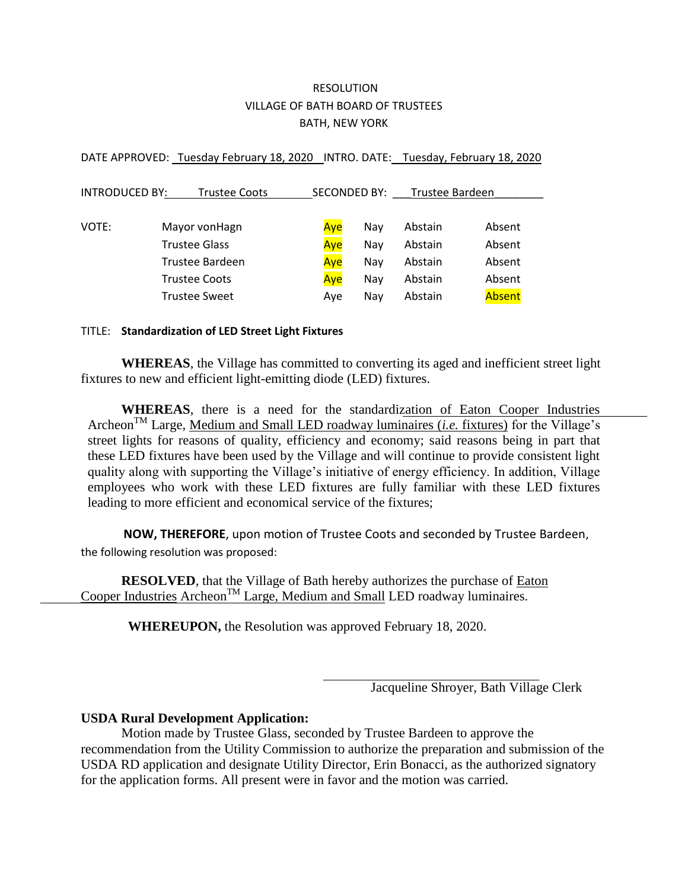# RESOLUTION VILLAGE OF BATH BOARD OF TRUSTEES BATH, NEW YORK

DATE APPROVED: Tuesday February 18, 2020 INTRO. DATE: Tuesday, February 18, 2020

| <b>INTRODUCED BY:</b><br><b>Trustee Coots</b> |  | <b>SECONDED BY:</b>  |  |     | Trustee Bardeen |         |  |        |
|-----------------------------------------------|--|----------------------|--|-----|-----------------|---------|--|--------|
|                                               |  |                      |  |     |                 |         |  |        |
| VOTE:                                         |  | Mayor vonHagn        |  | Ave | Nav             | Abstain |  | Absent |
| <b>Trustee Glass</b><br>Trustee Bardeen       |  |                      |  | Aye | Nay             | Abstain |  | Absent |
|                                               |  |                      |  | Aye | Nay             | Abstain |  | Absent |
|                                               |  | <b>Trustee Coots</b> |  | Aye | Nay             | Abstain |  | Absent |
|                                               |  | <b>Trustee Sweet</b> |  | Ave | Nav             | Abstain |  | Absent |

#### TITLE: **Standardization of LED Street Light Fixtures**

**WHEREAS**, the Village has committed to converting its aged and inefficient street light fixtures to new and efficient light-emitting diode (LED) fixtures.

**WHEREAS**, there is a need for the standardization of Eaton Cooper Industries Archeon<sup>TM</sup> Large, Medium and Small LED roadway luminaires *(i.e. fixtures)* for the Village's street lights for reasons of quality, efficiency and economy; said reasons being in part that these LED fixtures have been used by the Village and will continue to provide consistent light quality along with supporting the Village's initiative of energy efficiency. In addition, Village employees who work with these LED fixtures are fully familiar with these LED fixtures leading to more efficient and economical service of the fixtures;

 **NOW, THEREFORE**, upon motion of Trustee Coots and seconded by Trustee Bardeen, the following resolution was proposed:

**RESOLVED**, that the Village of Bath hereby authorizes the purchase of Eaton Cooper Industries Archeon<sup>TM</sup> Large, Medium and Small LED roadway luminaires.

**WHEREUPON,** the Resolution was approved February 18, 2020.

Jacqueline Shroyer, Bath Village Clerk

# **USDA Rural Development Application:**

Motion made by Trustee Glass, seconded by Trustee Bardeen to approve the recommendation from the Utility Commission to authorize the preparation and submission of the USDA RD application and designate Utility Director, Erin Bonacci, as the authorized signatory for the application forms. All present were in favor and the motion was carried.